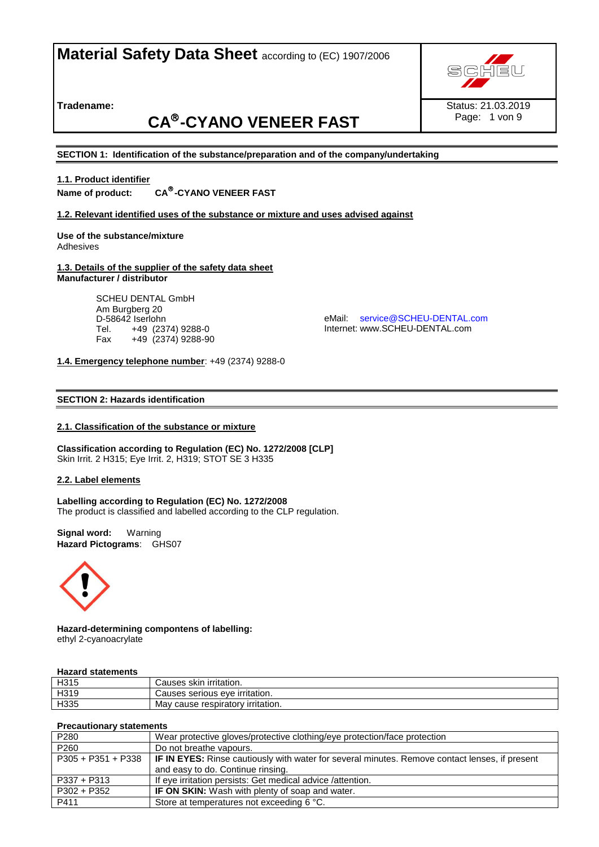**Tradename:** 

# **CA -CYANO VENEER FAST**



Page: 1 von 9

**SECTION 1: Identification of the substance/preparation and of the company/undertaking**

#### **1.1. Product identifier Name of product:** CA<sup>®</sup>-CYANO VENEER FAST

**1.2. Relevant identified uses of the substance or mixture and uses advised against**

## **Use of the substance/mixture** Adhesives

#### **1.3. Details of the supplier of the safety data sheet Manufacturer / distributor**

SCHEU DENTAL GmbH Am Burgberg 20 D-58642 Iserlohn Tel. +49 (2374) 9288-0<br>Fax +49 (2374) 9288-9 Fax +49 (2374) 9288-90

eMail: [service@SCHEU-DENTAL.com](mailto:service@SCHEU-DENTAL.com) Internet: www.SCHEU-DENTAL.com

## **1.4. Emergency telephone number**: +49 (2374) 9288-0

## **SECTION 2: Hazards identification**

## **2.1. Classification of the substance or mixture**

**Classification according to Regulation (EC) No. 1272/2008 [CLP]** Skin Irrit. 2 H315; Eye Irrit. 2, H319; STOT SE 3 H335

## **2.2. Label elements**

**Labelling according to Regulation (EC) No. 1272/2008** The product is classified and labelled according to the CLP regulation.

**Signal word:** Warning **Hazard Pictograms**: GHS07



**Hazard-determining compontens of labelling:** ethyl 2-cyanoacrylate

## **Hazard statements**

| H <sub>315</sub> | Causes skin irritation.                  |
|------------------|------------------------------------------|
| H319             | Causes serious eye irritation.           |
| H335             | virritation.<br>cause respiratory<br>Mav |

## **Precautionary statements**

| P280               | Wear protective gloves/protective clothing/eye protection/face protection                             |
|--------------------|-------------------------------------------------------------------------------------------------------|
| P <sub>260</sub>   | Do not breathe vapours.                                                                               |
| P305 + P351 + P338 | <b>IF IN EYES:</b> Rinse cautiously with water for several minutes. Remove contact lenses, if present |
|                    | and easy to do. Continue rinsing.                                                                     |
| P337 + P313        | If eye irritation persists: Get medical advice / attention.                                           |
| $P302 + P352$      | <b>IF ON SKIN:</b> Wash with plenty of soap and water.                                                |
| P411               | Store at temperatures not exceeding 6 °C.                                                             |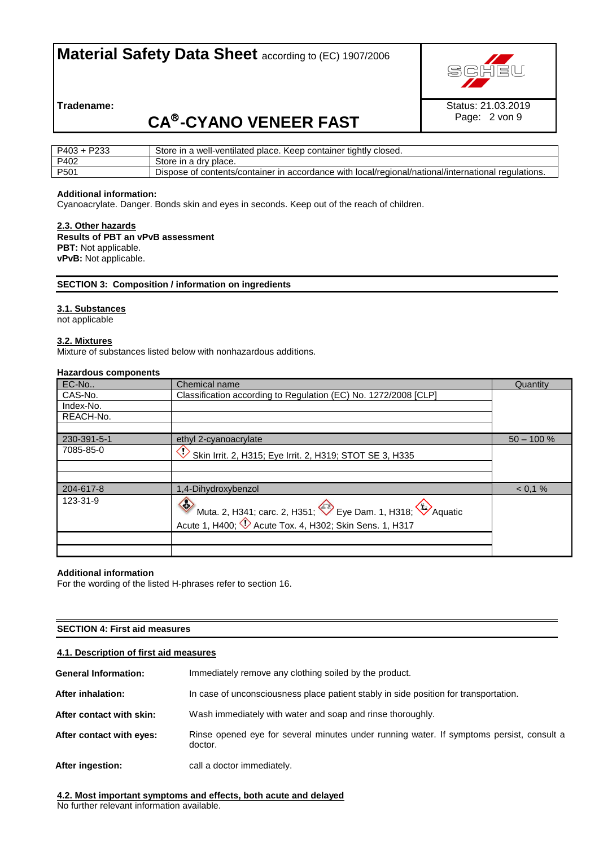

Page: 2 von 9

**Tradename:** 

# **CA -CYANO VENEER FAST**

| P233<br>P403.    | Store in a well-ventilated place. Keep container tightly closed.                                    |
|------------------|-----------------------------------------------------------------------------------------------------|
| P402             | Store in a dry place.                                                                               |
| P <sub>501</sub> | Dispose of contents/container in accordance with local/regional/national/international regulations. |

## **Additional information:**

Cyanoacrylate. Danger. Bonds skin and eyes in seconds. Keep out of the reach of children.

## **2.3. Other hazards**

**Results of PBT an vPvB assessment PBT:** Not applicable. **vPvB:** Not applicable.

## **SECTION 3: Composition / information on ingredients**

## **3.1. Substances**

**rds identification**

not applicable

## **3.2. Mixtures**

Mixture of substances listed below with nonhazardous additions.

## **Hazardous components**

| EC-No       | Chemical name                                                                                                                                | Quantity      |
|-------------|----------------------------------------------------------------------------------------------------------------------------------------------|---------------|
| CAS-No.     | Classification according to Regulation (EC) No. 1272/2008 [CLP]                                                                              |               |
| Index-No.   |                                                                                                                                              |               |
| REACH-No.   |                                                                                                                                              |               |
|             |                                                                                                                                              |               |
| 230-391-5-1 | ethyl 2-cyanoacrylate                                                                                                                        | $50 - 100 \%$ |
| 7085-85-0   | $\mathbb C$<br>Skin Irrit. 2, H315; Eye Irrit. 2, H319; STOT SE 3, H335                                                                      |               |
|             |                                                                                                                                              |               |
| 204-617-8   | 1,4-Dihydroxybenzol                                                                                                                          | < 0.1 %       |
| 123-31-9    | $\Leftrightarrow$<br>Muta. 2, H341; carc. 2, H351; expedition 1, H318; Aquatic<br>Acute 1, H400;<br>2 Acute Tox. 4, H302; Skin Sens. 1, H317 |               |
|             |                                                                                                                                              |               |

## **Additional information**

For the wording of the listed H-phrases refer to section 16.

## **SECTION 4: First aid measures**

## **4.1. Description of first aid measures**

| <b>General Information:</b> | Immediately remove any clothing soiled by the product.                                              |
|-----------------------------|-----------------------------------------------------------------------------------------------------|
| After inhalation:           | In case of unconsciousness place patient stably in side position for transportation.                |
| After contact with skin:    | Wash immediately with water and soap and rinse thoroughly.                                          |
| After contact with eyes:    | Rinse opened eye for several minutes under running water. If symptoms persist, consult a<br>doctor. |
| After ingestion:            | call a doctor immediately.                                                                          |

**4.2. Most important symptoms and effects, both acute and delayed**  No further relevant information available.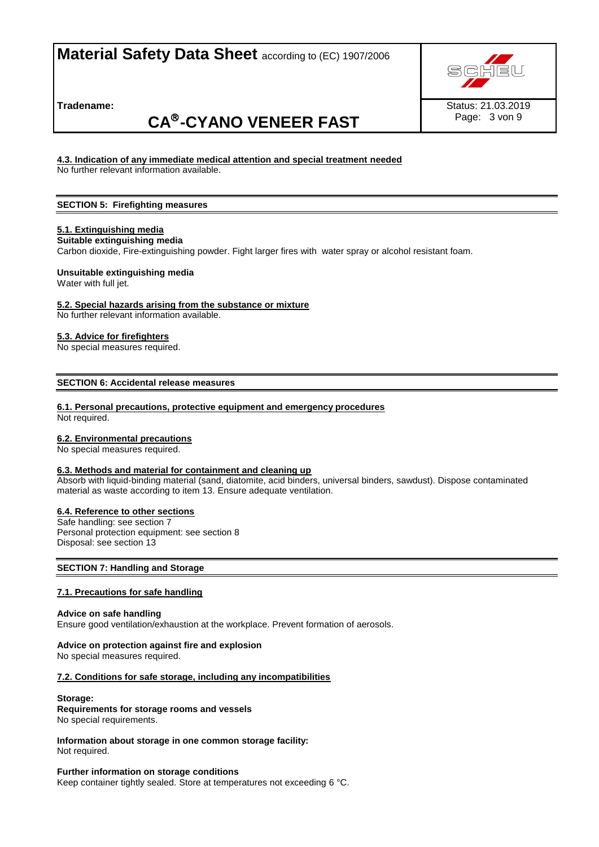**Tradename:** 

# **CA -CYANO VENEER FAST**



## **4.3. Indication of any immediate medical attention and special treatment needed**

No further relevant information available.

## **SECTION 5: Firefighting measures**

## **5.1. Extinguishing media**

**Suitable extinguishing media**

Carbon dioxide, Fire-extinguishing powder. Fight larger fires with water spray or alcohol resistant foam.

## **Unsuitable extinguishing media**

Water with full jet.

## **5.2. Special hazards arising from the substance or mixture**

No further relevant information available.

## **5.3. Advice for firefighters**

No special measures required.

**SECTION 6: Accidental release measures**

## **6.1. Personal precautions, protective equipment and emergency procedures**

Not required.

## **6.2. Environmental precautions**

No special measures required.

## **6.3. Methods and material for containment and cleaning up**

Absorb with liquid-binding material (sand, diatomite, acid binders, universal binders, sawdust). Dispose contaminated material as waste according to item 13. Ensure adequate ventilation.

## **6.4. Reference to other sections**

Safe handling: see section 7 Personal protection equipment: see section 8 Disposal: see section 13

## **SECTION 7: Handling and Storage**

## **7.1. Precautions for safe handling**

## **Advice on safe handling**

Ensure good ventilation/exhaustion at the workplace. Prevent formation of aerosols.

## **Advice on protection against fire and explosion**

No special measures required.

## **7.2. Conditions for safe storage, including any incompatibilities**

## **Storage:**

## **Requirements for storage rooms and vessels**

No special requirements.

**Information about storage in one common storage facility:** Not required.

## **Further information on storage conditions**

Keep container tightly sealed. Store at temperatures not exceeding 6 °C.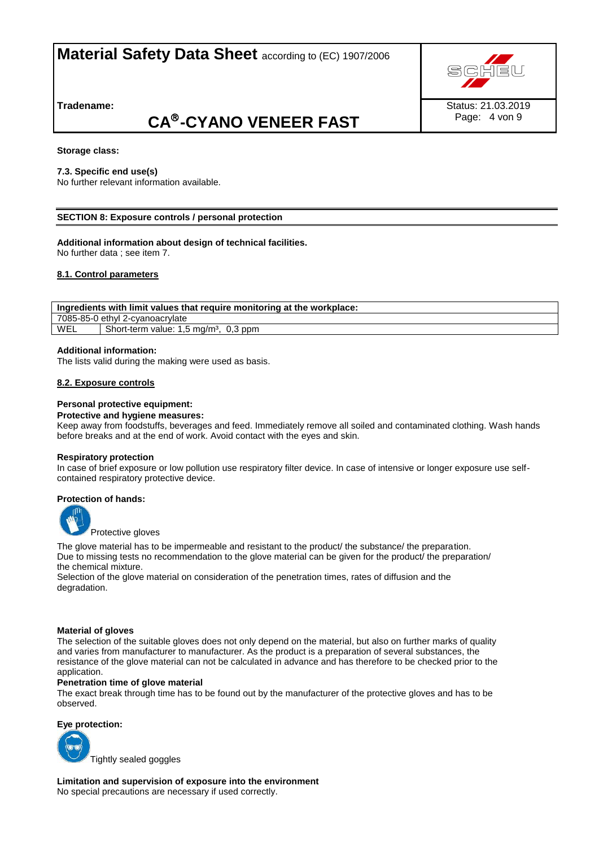**Tradename:** 

# **CA -CYANO VENEER FAST**

## **Storage class:**

## **7.3. Specific end use(s)**

No further relevant information available.

## **SECTION 8: Exposure controls / personal protection**

## **Additional information about design of technical facilities.**

No further data ; see item 7.

## **8.1. Control parameters**

**Ingredients with limit values that require monitoring at the workplace:** 7085-85-0 ethyl 2-cyanoacrylate WEL | Short-term value:  $1,5 \text{ mg/m}^3$ ,  $0,3 \text{ ppm}$ 

## **Additional information:**

The lists valid during the making were used as basis.

## **8.2. Exposure controls**

## **Personal protective equipment:**

#### **Protective and hygiene measures:**

Keep away from foodstuffs, beverages and feed. Immediately remove all soiled and contaminated clothing. Wash hands before breaks and at the end of work. Avoid contact with the eyes and skin.

#### **Respiratory protection**

In case of brief exposure or low pollution use respiratory filter device. In case of intensive or longer exposure use selfcontained respiratory protective device.

## **Protection of hands:**



Protective gloves

The glove material has to be impermeable and resistant to the product/ the substance/ the preparation. Due to missing tests no recommendation to the glove material can be given for the product/ the preparation/ the chemical mixture.

Selection of the glove material on consideration of the penetration times, rates of diffusion and the degradation.

## **Material of gloves**

The selection of the suitable gloves does not only depend on the material, but also on further marks of quality and varies from manufacturer to manufacturer. As the product is a preparation of several substances, the resistance of the glove material can not be calculated in advance and has therefore to be checked prior to the application.

## **Penetration time of glove material**

The exact break through time has to be found out by the manufacturer of the protective gloves and has to be observed.

#### **Eye protection:**

Tightly sealed goggles

**Limitation and supervision of exposure into the environment** No special precautions are necessary if used correctly.



Page: 4 von 9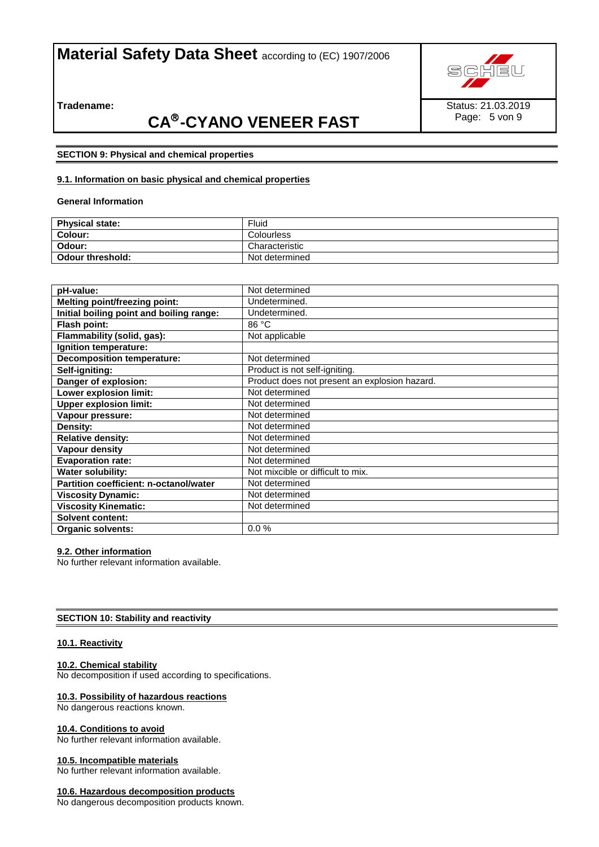

Page: 5 von 9

**Tradename:** 

# **CA -CYANO VENEER FAST**

## **SECTION 9: Physical and chemical properties**

## **9.1. Information on basic physical and chemical properties**

**General Information**

| <b>Physical state:</b>  | Fluid          |
|-------------------------|----------------|
| <b>Colour:</b>          | Colourless     |
| Odour:                  | Characteristic |
| <b>Odour threshold:</b> | Not determined |

| pH-value:                                     | Not determined                                |
|-----------------------------------------------|-----------------------------------------------|
| <b>Melting point/freezing point:</b>          | Undetermined.                                 |
| Initial boiling point and boiling range:      | Undetermined.                                 |
| Flash point:                                  | 86 °C                                         |
| Flammability (solid, gas):                    | Not applicable                                |
| Ignition temperature:                         |                                               |
| <b>Decomposition temperature:</b>             | Not determined                                |
| Self-igniting:                                | Product is not self-igniting.                 |
| Danger of explosion:                          | Product does not present an explosion hazard. |
| Lower explosion limit:                        | Not determined                                |
| <b>Upper explosion limit:</b>                 | Not determined                                |
| Vapour pressure:                              | Not determined                                |
| Density:                                      | Not determined                                |
| <b>Relative density:</b>                      | Not determined                                |
| Vapour density                                | Not determined                                |
| <b>Evaporation rate:</b>                      | Not determined                                |
| Water solubility:                             | Not mixcible or difficult to mix.             |
| <b>Partition coefficient: n-octanol/water</b> | Not determined                                |
| <b>Viscosity Dynamic:</b>                     | Not determined                                |
| <b>Viscosity Kinematic:</b>                   | Not determined                                |
| <b>Solvent content:</b>                       |                                               |
| <b>Organic solvents:</b>                      | 0.0%                                          |

## **9.2. Other information**

No further relevant information available.

## **SECTION 10: Stability and reactivity**

## **10.1. Reactivity**

## **10.2. Chemical stability**

No decomposition if used according to specifications.

## **10.3. Possibility of hazardous reactions**

No dangerous reactions known.

## **10.4. Conditions to avoid**

No further relevant information available.

## **10.5. Incompatible materials**

No further relevant information available.

## **10.6. Hazardous decomposition products**

No dangerous decomposition products known.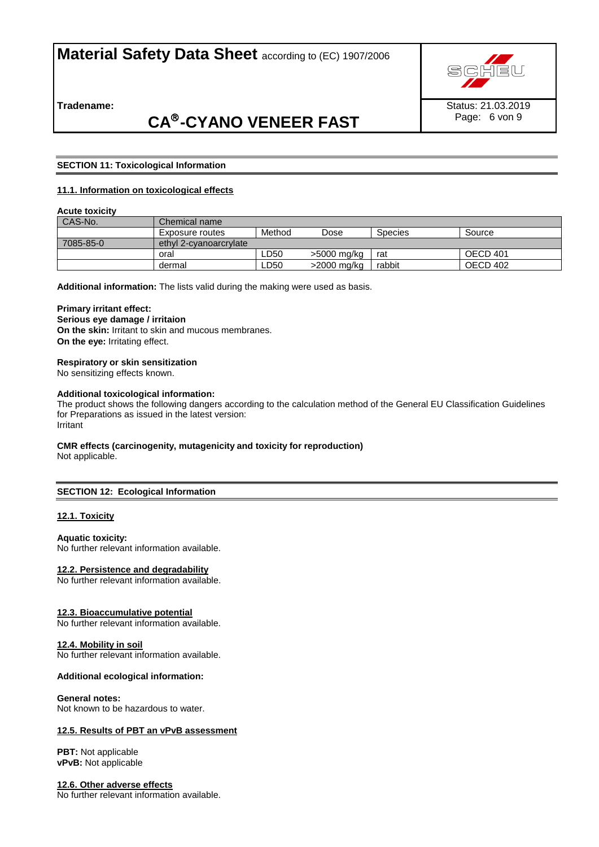

**Tradename:** 

## **CA -CYANO VENEER FAST**

## **SECTION 11: Toxicological Information**

## **11.1. Information on toxicological effects**

## **Acute toxicity**

| CAS-No.   | Chemical name i        |        |             |         |          |
|-----------|------------------------|--------|-------------|---------|----------|
|           | Exposure routes        | Method | Dose        | Species | Source   |
| 7085-85-0 | ethyl 2-cyanoarcrylate |        |             |         |          |
|           | oral                   | ∟D50   | >5000 mg/kg | rat     | OECD 401 |
|           | dermal                 | ∟D50   | >2000 mg/kg | rabbit  | OECD 402 |

**Additional information:** The lists valid during the making were used as basis.

## **Primary irritant effect:**

**Serious eye damage / irritaion On the skin:** Irritant to skin and mucous membranes.

## **On the eye:** Irritating effect.

## **Respiratory or skin sensitization**

No sensitizing effects known.

#### **Additional toxicological information:**

The product shows the following dangers according to the calculation method of the General EU Classification Guidelines for Preparations as issued in the latest version: Irritant

## **CMR effects (carcinogenity, mutagenicity and toxicity for reproduction)**

Not applicable.

## **SECTION 12: Ecological Information**

## **12.1. Toxicity**

#### **Aquatic toxicity:**

No further relevant information available.

## **12.2. Persistence and degradability**

No further relevant information available.

## **12.3. Bioaccumulative potential**

No further relevant information available.

## **12.4. Mobility in soil**

No further relevant information available.

## **Additional ecological information:**

#### **General notes:**

Not known to be hazardous to water.

## **12.5. Results of PBT an vPvB assessment**

**PBT:** Not applicable **vPvB:** Not applicable

## **12.6. Other adverse effects**

No further relevant information available.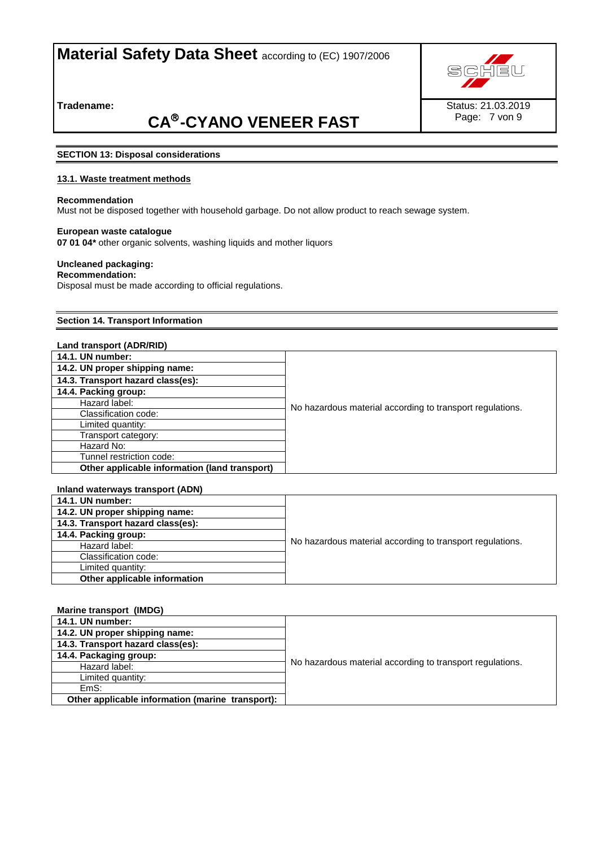

**Tradename:** 

# **CA -CYANO VENEER FAST**

## **SECTION 13: Disposal considerations**

## **13.1. Waste treatment methods**

## **Recommendation**

Must not be disposed together with household garbage. Do not allow product to reach sewage system.

### **European waste catalogue**

**07 01 04\*** other organic solvents, washing liquids and mother liquors

## **Uncleaned packaging:**

**Recommendation:** Disposal must be made according to official regulations.

### **Section 14. Transport Information**

#### **Land transport (ADR/RID)**

| <b>14.1. UN number:</b>                       |                                                           |
|-----------------------------------------------|-----------------------------------------------------------|
| 14.2. UN proper shipping name:                |                                                           |
| 14.3. Transport hazard class(es):             |                                                           |
| 14.4. Packing group:                          |                                                           |
| Hazard label:                                 | No hazardous material according to transport regulations. |
| Classification code:                          |                                                           |
| Limited quantity:                             |                                                           |
| Transport category:                           |                                                           |
| Hazard No:                                    |                                                           |
| Tunnel restriction code:                      |                                                           |
| Other applicable information (land transport) |                                                           |

| No hazardous material according to transport regulations. |
|-----------------------------------------------------------|
|                                                           |
|                                                           |
|                                                           |
|                                                           |

## **Marine transport (IMDG) 14.1. UN number:** No hazardous material according to transport regulations. **14.2. UN proper shipping name: 14.3. Transport hazard class(es): 14.4. Packaging group:** Hazard label: Limited quantity: EmS:  **Other applicable information (marine transport):**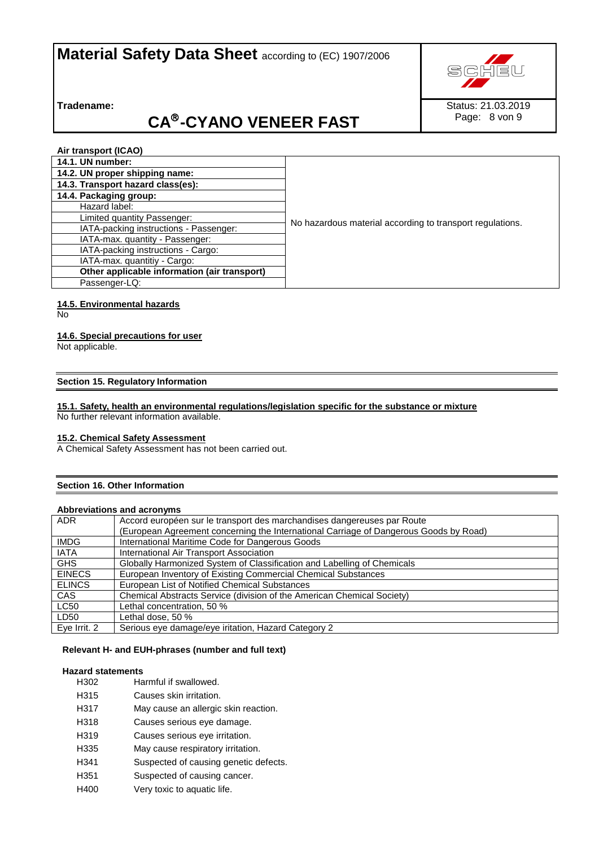

**Tradename:** 

# **CA -CYANO VENEER FAST**

Status: 21.03.2019 Page: 8 von 9

**Air transport (ICAO)**

| <b>14.1. UN number:</b>                      |                                                           |
|----------------------------------------------|-----------------------------------------------------------|
| 14.2. UN proper shipping name:               |                                                           |
| 14.3. Transport hazard class(es):            |                                                           |
| 14.4. Packaging group:                       |                                                           |
| Hazard label:                                |                                                           |
| Limited quantity Passenger:                  | No hazardous material according to transport regulations. |
| IATA-packing instructions - Passenger:       |                                                           |
| IATA-max. quantity - Passenger:              |                                                           |
| IATA-packing instructions - Cargo:           |                                                           |
| IATA-max. quantitiy - Cargo:                 |                                                           |
| Other applicable information (air transport) |                                                           |
| Passenger-LQ:                                |                                                           |

## **14.5. Environmental hazards**

No

## **14.6. Special precautions for user**

Not applicable.

## **Section 15. Regulatory Information**

## **15.1. Safety, health an environmental regulations/legislation specific for the substance or mixture**

No further relevant information available.

## **15.2. Chemical Safety Assessment**

A Chemical Safety Assessment has not been carried out.

## **Section 16. Other Information**

## **Abbreviations and acronyms**

| ADR.          | Accord européen sur le transport des marchandises dangereuses par Route               |
|---------------|---------------------------------------------------------------------------------------|
|               | (European Agreement concerning the International Carriage of Dangerous Goods by Road) |
| <b>IMDG</b>   | International Maritime Code for Dangerous Goods                                       |
| IATA          | International Air Transport Association                                               |
| <b>GHS</b>    | Globally Harmonized System of Classification and Labelling of Chemicals               |
| <b>EINECS</b> | European Inventory of Existing Commercial Chemical Substances                         |
| <b>ELINCS</b> | European List of Notified Chemical Substances                                         |
| CAS           | Chemical Abstracts Service (division of the American Chemical Society)                |
| <b>LC50</b>   | Lethal concentration, 50 %                                                            |
| LD50          | Lethal dose, 50 %                                                                     |
| Eye Irrit. 2  | Serious eye damage/eye iritation, Hazard Category 2                                   |

## **Relevant H- and EUH-phrases (number and full text)**

## **Hazard statements**

| H302             | Harmful if swallowed.                 |
|------------------|---------------------------------------|
| H315             | Causes skin irritation.               |
| H317             | May cause an allergic skin reaction.  |
| H318             | Causes serious eye damage.            |
| H <sub>319</sub> | Causes serious eye irritation.        |
| H335             | May cause respiratory irritation.     |
| H341             | Suspected of causing genetic defects. |
|                  |                                       |

- H351 Suspected of causing cancer.
- H400 Very toxic to aquatic life.